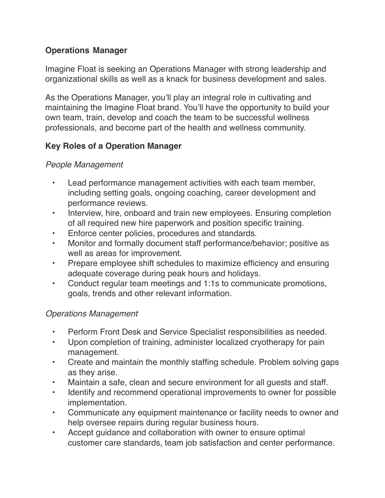## **Operations Manager**

Imagine Float is seeking an Operations Manager with strong leadership and organizational skills as well as a knack for business development and sales.

As the Operations Manager, you'll play an integral role in cultivating and maintaining the Imagine Float brand. You'll have the opportunity to build your own team, train, develop and coach the team to be successful wellness professionals, and become part of the health and wellness community.

## **Key Roles of a Operation Manager**

## *People Management*

- Lead performance management activities with each team member, including setting goals, ongoing coaching, career development and performance reviews.
- Interview, hire, onboard and train new employees. Ensuring completion of all required new hire paperwork and position specific training.
- Enforce center policies, procedures and standards.
- Monitor and formally document staff performance/behavior; positive as well as areas for improvement.
- Prepare employee shift schedules to maximize efficiency and ensuring adequate coverage during peak hours and holidays.
- Conduct regular team meetings and 1:1s to communicate promotions, goals, trends and other relevant information.

## *Operations Management*

- Perform Front Desk and Service Specialist responsibilities as needed.
- Upon completion of training, administer localized cryotherapy for pain management.
- Create and maintain the monthly staffing schedule. Problem solving gaps as they arise.
- Maintain a safe, clean and secure environment for all guests and staff.
- Identify and recommend operational improvements to owner for possible implementation.
- Communicate any equipment maintenance or facility needs to owner and help oversee repairs during regular business hours.
- Accept guidance and collaboration with owner to ensure optimal customer care standards, team job satisfaction and center performance.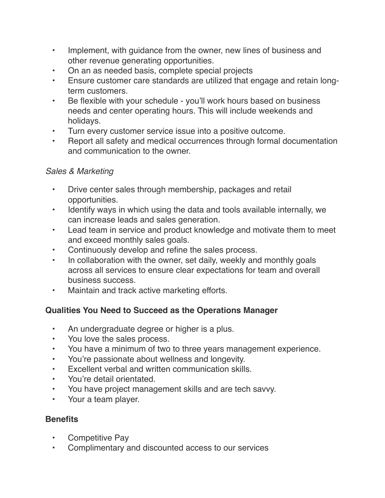- Implement, with guidance from the owner, new lines of business and other revenue generating opportunities.
- On an as needed basis, complete special projects
- Ensure customer care standards are utilized that engage and retain longterm customers.
- Be flexible with your schedule you'll work hours based on business needs and center operating hours. This will include weekends and holidays.
- Turn every customer service issue into a positive outcome.
- Report all safety and medical occurrences through formal documentation and communication to the owner.

## *Sales & Marketing*

- Drive center sales through membership, packages and retail opportunities.
- Identify ways in which using the data and tools available internally, we can increase leads and sales generation.
- Lead team in service and product knowledge and motivate them to meet and exceed monthly sales goals.
- Continuously develop and refine the sales process.
- In collaboration with the owner, set daily, weekly and monthly goals across all services to ensure clear expectations for team and overall business success.
- Maintain and track active marketing efforts.

# **Qualities You Need to Succeed as the Operations Manager**

- An undergraduate degree or higher is a plus.
- You love the sales process.
- You have a minimum of two to three years management experience.
- You're passionate about wellness and longevity.
- Excellent verbal and written communication skills.
- You're detail orientated.
- You have project management skills and are tech savvy.
- Your a team player.

## **Benefits**

- Competitive Pay
- Complimentary and discounted access to our services